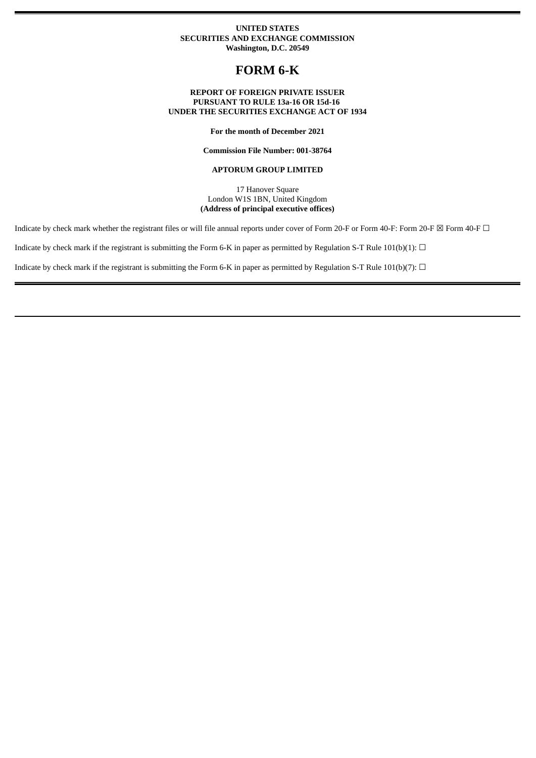## **UNITED STATES SECURITIES AND EXCHANGE COMMISSION Washington, D.C. 20549**

# **FORM 6-K**

## **REPORT OF FOREIGN PRIVATE ISSUER PURSUANT TO RULE 13a-16 OR 15d-16 UNDER THE SECURITIES EXCHANGE ACT OF 1934**

**For the month of December 2021**

**Commission File Number: 001-38764**

### **APTORUM GROUP LIMITED**

17 Hanover Square London W1S 1BN, United Kingdom **(Address of principal executive offices)**

Indicate by check mark whether the registrant files or will file annual reports under cover of Form 20-F or Form 40-F: Form 20-F  $\boxtimes$  Form 40-F  $\Box$ 

Indicate by check mark if the registrant is submitting the Form 6-K in paper as permitted by Regulation S-T Rule 101(b)(1):  $\Box$ 

Indicate by check mark if the registrant is submitting the Form 6-K in paper as permitted by Regulation S-T Rule 101(b)(7):  $\Box$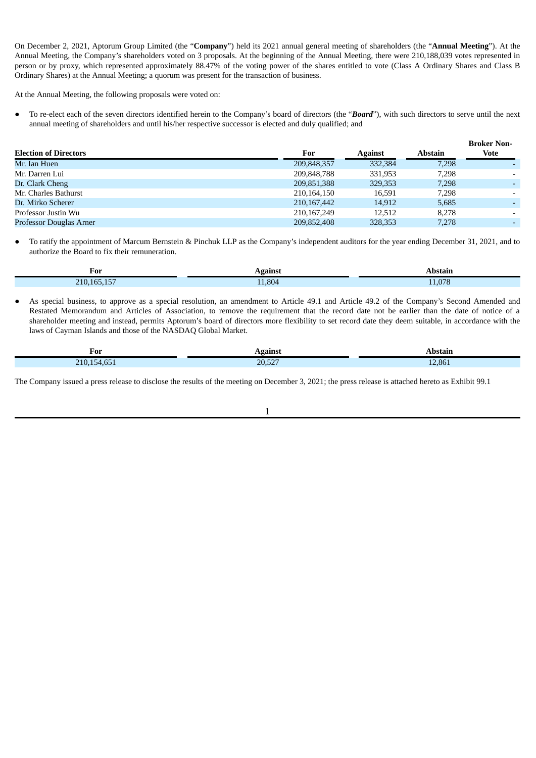On December 2, 2021, Aptorum Group Limited (the "**Company**") held its 2021 annual general meeting of shareholders (the "**Annual Meeting**"). At the Annual Meeting, the Company's shareholders voted on 3 proposals. At the beginning of the Annual Meeting, there were 210,188,039 votes represented in person or by proxy, which represented approximately 88.47% of the voting power of the shares entitled to vote (Class A Ordinary Shares and Class B Ordinary Shares) at the Annual Meeting; a quorum was present for the transaction of business.

At the Annual Meeting, the following proposals were voted on:

To re-elect each of the seven directors identified herein to the Company's board of directors (the "*Board*"), with such directors to serve until the next annual meeting of shareholders and until his/her respective successor is elected and duly qualified; and

|                              |               |                |         | <b>Broker Non-</b> |
|------------------------------|---------------|----------------|---------|--------------------|
| <b>Election of Directors</b> | For           | <b>Against</b> | Abstain | <b>Vote</b>        |
| Mr. Ian Huen                 | 209,848,357   | 332,384        | 7,298   |                    |
| Mr. Darren Lui               | 209,848,788   | 331,953        | 7.298   | -                  |
| Dr. Clark Cheng              | 209,851,388   | 329, 353       | 7,298   |                    |
| Mr. Charles Bathurst         | 210,164,150   | 16,591         | 7,298   | -                  |
| Dr. Mirko Scherer            | 210, 167, 442 | 14,912         | 5,685   |                    |
| Professor Justin Wu          | 210, 167, 249 | 12.512         | 8.278   | -                  |
| Professor Douglas Arner      | 209,852,408   | 328,353        | 7.278   |                    |

● To ratify the appointment of Marcum Bernstein & Pinchuk LLP as the Company's independent auditors for the year ending December 31, 2021, and to authorize the Board to fix their remuneration.

| For<br>____        | <b>GAINC</b> |      |
|--------------------|--------------|------|
| $\sim$ $ -$<br>210 | $-1,804$     | .078 |

As special business, to approve as a special resolution, an amendment to Article 49.1 and Article 49.2 of the Company's Second Amended and Restated Memorandum and Articles of Association, to remove the requirement that the record date not be earlier than the date of notice of a shareholder meeting and instead, permits Aptorum's board of directors more flexibility to set record date they deem suitable, in accordance with the laws of Cayman Islands and those of the NASDAQ Global Market.

|             | ،gainst | Abstain |
|-------------|---------|---------|
| For         | $\sim$  | .       |
| 210,154,651 | 20,527  | 12,861  |

The Company issued a press release to disclose the results of the meeting on December 3, 2021; the press release is attached hereto as Exhibit 99.1

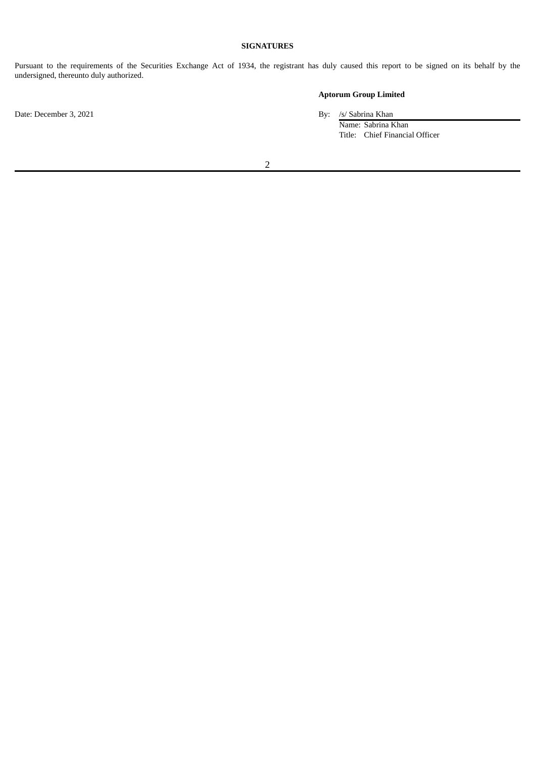# **SIGNATURES**

Pursuant to the requirements of the Securities Exchange Act of 1934, the registrant has duly caused this report to be signed on its behalf by the undersigned, thereunto duly authorized.

# **Aptorum Group Limited**

Name: Sabrina Khan Title: Chief Financial Officer

2

Date: December 3, 2021 By: /s/ Sabrina Khan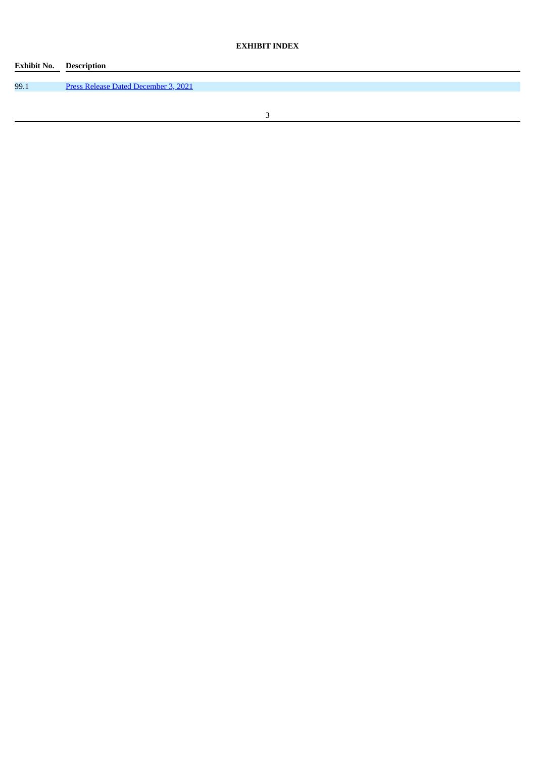# **EXHIBIT INDEX**

| <b>Exhibit No. Description</b> |                                             |
|--------------------------------|---------------------------------------------|
|                                |                                             |
| 99.1                           | <b>Press Release Dated December 3, 2021</b> |
|                                |                                             |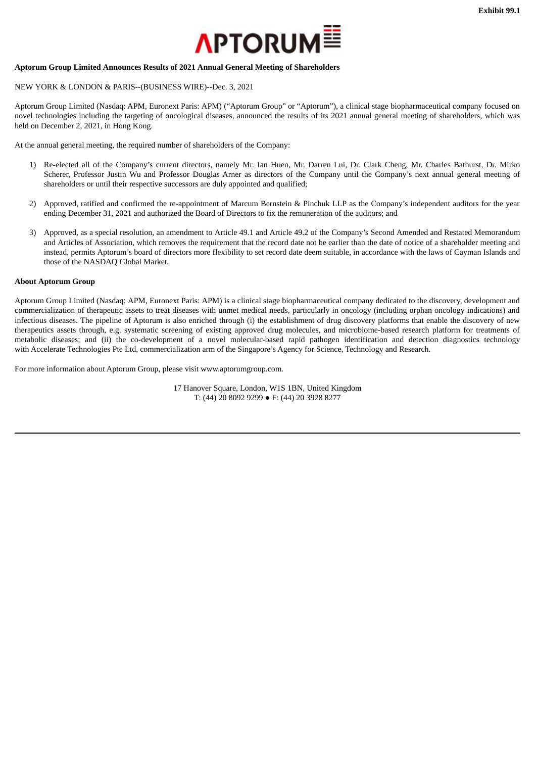

# <span id="page-4-0"></span>**Aptorum Group Limited Announces Results of 2021 Annual General Meeting of Shareholders**

# NEW YORK & LONDON & PARIS--(BUSINESS WIRE)--Dec. 3, 2021

Aptorum Group Limited (Nasdaq: APM, Euronext Paris: APM) ("Aptorum Group" or "Aptorum"), a clinical stage biopharmaceutical company focused on novel technologies including the targeting of oncological diseases, announced the results of its 2021 annual general meeting of shareholders, which was held on December 2, 2021, in Hong Kong.

At the annual general meeting, the required number of shareholders of the Company:

- 1) Re-elected all of the Company's current directors, namely Mr. Ian Huen, Mr. Darren Lui, Dr. Clark Cheng, Mr. Charles Bathurst, Dr. Mirko Scherer, Professor Justin Wu and Professor Douglas Arner as directors of the Company until the Company's next annual general meeting of shareholders or until their respective successors are duly appointed and qualified;
- 2) Approved, ratified and confirmed the re-appointment of Marcum Bernstein & Pinchuk LLP as the Company's independent auditors for the year ending December 31, 2021 and authorized the Board of Directors to fix the remuneration of the auditors; and
- 3) Approved, as a special resolution, an amendment to Article 49.1 and Article 49.2 of the Company's Second Amended and Restated Memorandum and Articles of Association, which removes the requirement that the record date not be earlier than the date of notice of a shareholder meeting and instead, permits Aptorum's board of directors more flexibility to set record date deem suitable, in accordance with the laws of Cayman Islands and those of the NASDAQ Global Market.

### **About Aptorum Group**

Aptorum Group Limited (Nasdaq: APM, Euronext Paris: APM) is a clinical stage biopharmaceutical company dedicated to the discovery, development and commercialization of therapeutic assets to treat diseases with unmet medical needs, particularly in oncology (including orphan oncology indications) and infectious diseases. The pipeline of Aptorum is also enriched through (i) the establishment of drug discovery platforms that enable the discovery of new therapeutics assets through, e.g. systematic screening of existing approved drug molecules, and microbiome-based research platform for treatments of metabolic diseases; and (ii) the co-development of a novel molecular-based rapid pathogen identification and detection diagnostics technology with Accelerate Technologies Pte Ltd, commercialization arm of the Singapore's Agency for Science, Technology and Research.

For more information about Aptorum Group, please visit www.aptorumgroup.com.

17 Hanover Square, London, W1S 1BN, United Kingdom T: (44) 20 8092 9299 ● F: (44) 20 3928 8277